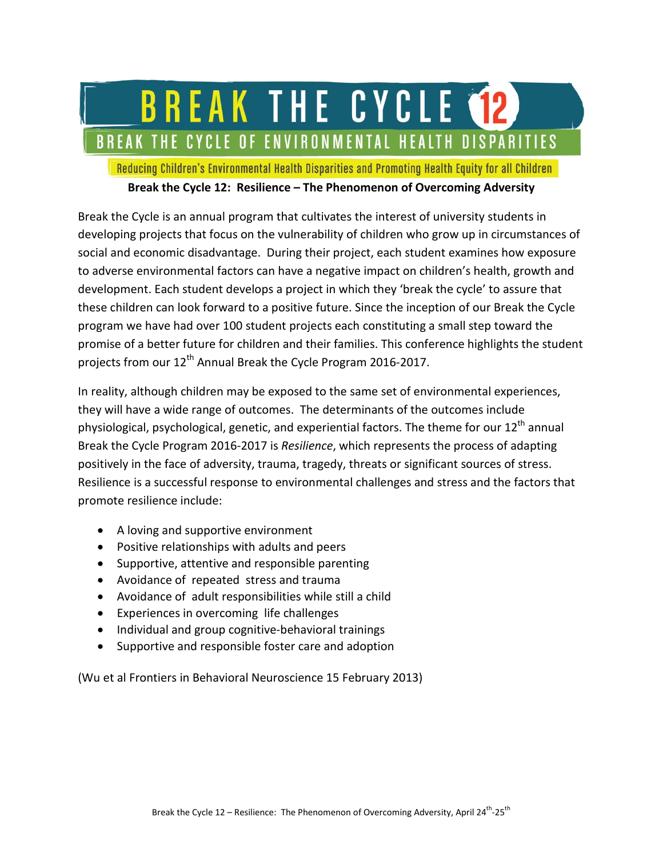# BREAK THE CYCLE 12 BREAK THE CYCLE OF ENVIRONMENTAL HEALTH DISPARITIES

Reducing Children's Environmental Health Disparities and Promoting Health Equity for all Children

#### **Break the Cycle 12: Resilience – The Phenomenon of Overcoming Adversity**

Break the Cycle is an annual program that cultivates the interest of university students in developing projects that focus on the vulnerability of children who grow up in circumstances of social and economic disadvantage. During their project, each student examines how exposure to adverse environmental factors can have a negative impact on children's health, growth and development. Each student develops a project in which they 'break the cycle' to assure that these children can look forward to a positive future. Since the inception of our Break the Cycle program we have had over 100 student projects each constituting a small step toward the promise of a better future for children and their families. This conference highlights the student projects from our 12<sup>th</sup> Annual Break the Cycle Program 2016-2017.

In reality, although children may be exposed to the same set of environmental experiences, they will have a wide range of outcomes. The determinants of the outcomes include physiological, psychological, genetic, and experiential factors. The theme for our 12<sup>th</sup> annual Break the Cycle Program 2016-2017 is *Resilience*, which represents the process of adapting positively in the face of adversity, trauma, tragedy, threats or significant sources of stress. Resilience is a successful response to environmental challenges and stress and the factors that promote resilience include:

- A loving and supportive environment
- Positive relationships with adults and peers
- Supportive, attentive and responsible parenting
- Avoidance of repeated stress and trauma
- Avoidance of adult responsibilities while still a child
- Experiences in overcoming life challenges
- Individual and group cognitive-behavioral trainings
- Supportive and responsible foster care and adoption

(Wu et al Frontiers in Behavioral Neuroscience 15 February 2013)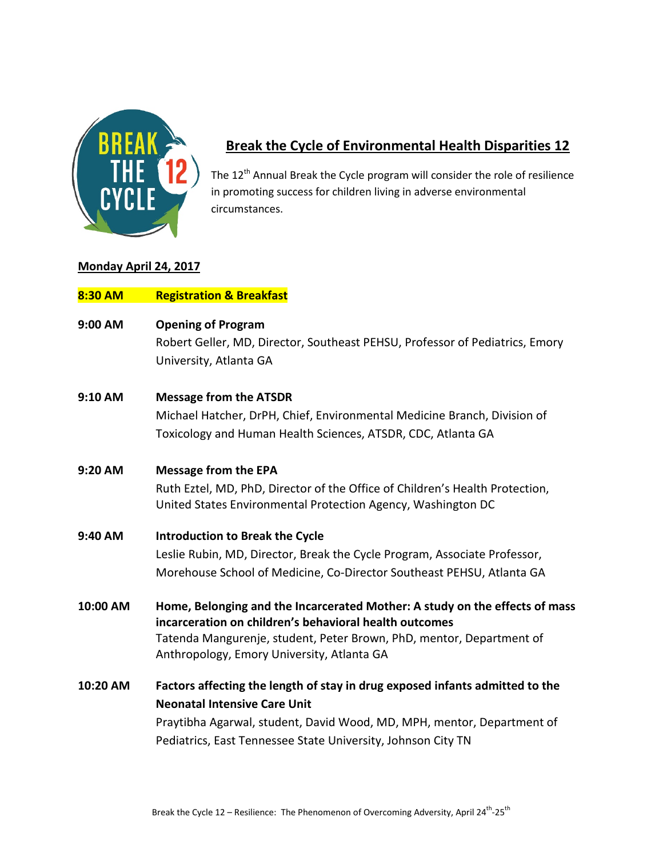

## **Break the Cycle of Environmental Health Disparities 12**

The 12<sup>th</sup> Annual Break the Cycle program will consider the role of resilience in promoting success for children living in adverse environmental circumstances.

#### **Monday April 24, 2017**

| 8:30 AM  | <b>Registration &amp; Breakfast</b>                                                                                                                                                                                                                           |
|----------|---------------------------------------------------------------------------------------------------------------------------------------------------------------------------------------------------------------------------------------------------------------|
| 9:00 AM  | <b>Opening of Program</b><br>Robert Geller, MD, Director, Southeast PEHSU, Professor of Pediatrics, Emory<br>University, Atlanta GA                                                                                                                           |
| 9:10 AM  | <b>Message from the ATSDR</b><br>Michael Hatcher, DrPH, Chief, Environmental Medicine Branch, Division of<br>Toxicology and Human Health Sciences, ATSDR, CDC, Atlanta GA                                                                                     |
| 9:20 AM  | <b>Message from the EPA</b><br>Ruth Eztel, MD, PhD, Director of the Office of Children's Health Protection,<br>United States Environmental Protection Agency, Washington DC                                                                                   |
| 9:40 AM  | <b>Introduction to Break the Cycle</b><br>Leslie Rubin, MD, Director, Break the Cycle Program, Associate Professor,<br>Morehouse School of Medicine, Co-Director Southeast PEHSU, Atlanta GA                                                                  |
| 10:00 AM | Home, Belonging and the Incarcerated Mother: A study on the effects of mass<br>incarceration on children's behavioral health outcomes<br>Tatenda Mangurenje, student, Peter Brown, PhD, mentor, Department of<br>Anthropology, Emory University, Atlanta GA   |
| 10:20 AM | Factors affecting the length of stay in drug exposed infants admitted to the<br><b>Neonatal Intensive Care Unit</b><br>Praytibha Agarwal, student, David Wood, MD, MPH, mentor, Department of<br>Pediatrics, East Tennessee State University, Johnson City TN |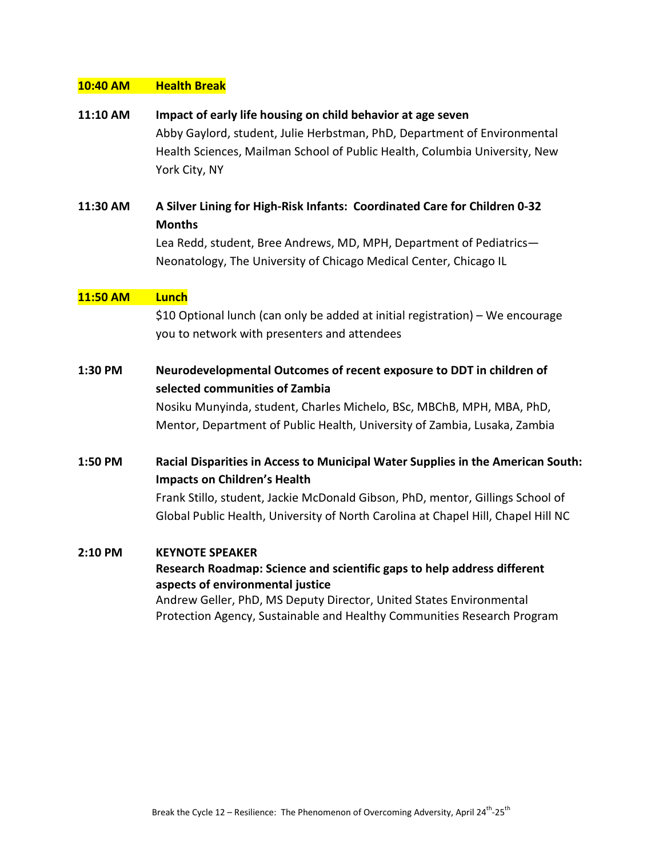#### **10:40 AM Health Break**

- **11:10 AM Impact of early life housing on child behavior at age seven** Abby Gaylord, student, Julie Herbstman, PhD, Department of Environmental Health Sciences, Mailman School of Public Health, Columbia University, New York City, NY
- **11:30 AM A Silver Lining for High-Risk Infants: Coordinated Care for Children 0-32 Months** Lea Redd, student, Bree Andrews, MD, MPH, Department of Pediatrics— Neonatology, The University of Chicago Medical Center, Chicago IL

#### **11:50 AM Lunch**

\$10 Optional lunch (can only be added at initial registration) – We encourage you to network with presenters and attendees

**1:30 PM Neurodevelopmental Outcomes of recent exposure to DDT in children of selected communities of Zambia**

> Nosiku Munyinda, student, Charles Michelo, BSc, MBChB, MPH, MBA, PhD, Mentor, Department of Public Health, University of Zambia, Lusaka, Zambia

**1:50 PM Racial Disparities in Access to Municipal Water Supplies in the American South: Impacts on Children's Health**

> Frank Stillo, student, Jackie McDonald Gibson, PhD, mentor, Gillings School of Global Public Health, University of North Carolina at Chapel Hill, Chapel Hill NC

#### **2:10 PM KEYNOTE SPEAKER**

### **Research Roadmap: Science and scientific gaps to help address different aspects of environmental justice**

Andrew Geller, PhD, MS Deputy Director, United States Environmental Protection Agency, Sustainable and Healthy Communities Research Program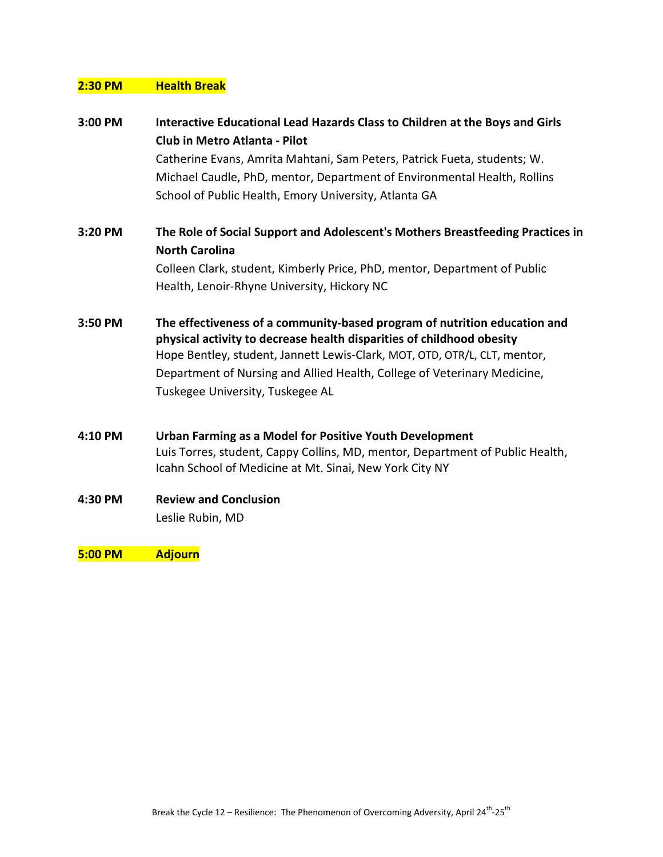### **2:30 PM Health Break**

| 3:00 PM | Interactive Educational Lead Hazards Class to Children at the Boys and Girls                                                                                                                                                    |
|---------|---------------------------------------------------------------------------------------------------------------------------------------------------------------------------------------------------------------------------------|
|         | Club in Metro Atlanta - Pilot                                                                                                                                                                                                   |
|         | Catherine Evans, Amrita Mahtani, Sam Peters, Patrick Fueta, students; W.                                                                                                                                                        |
|         | Michael Caudle, PhD, mentor, Department of Environmental Health, Rollins                                                                                                                                                        |
|         | School of Public Health, Emory University, Atlanta GA                                                                                                                                                                           |
| 3:20 PM | The Role of Social Support and Adolescent's Mothers Breastfeeding Practices in                                                                                                                                                  |
|         | <b>North Carolina</b>                                                                                                                                                                                                           |
|         | Colleen Clark, student, Kimberly Price, PhD, mentor, Department of Public                                                                                                                                                       |
|         | Health, Lenoir-Rhyne University, Hickory NC                                                                                                                                                                                     |
| 3:50 PM | The effectiveness of a community-based program of nutrition education and<br>physical activity to decrease health disparities of childhood obesity<br>Hope Bentley, student, Jannett Lewis-Clark, MOT, OTD, OTR/L, CLT, mentor, |
|         | Department of Nursing and Allied Health, College of Veterinary Medicine,                                                                                                                                                        |
|         | Tuskegee University, Tuskegee AL                                                                                                                                                                                                |
| 4:10 PM | Urban Farming as a Model for Positive Youth Development                                                                                                                                                                         |
|         | Luis Torres, student, Cappy Collins, MD, mentor, Department of Public Health,<br>Icahn School of Medicine at Mt. Sinai, New York City NY                                                                                        |
| 4:30 PM | <b>Review and Conclusion</b>                                                                                                                                                                                                    |
|         | Leslie Rubin, MD                                                                                                                                                                                                                |
| 5:00 PM | <b>Adjourn</b>                                                                                                                                                                                                                  |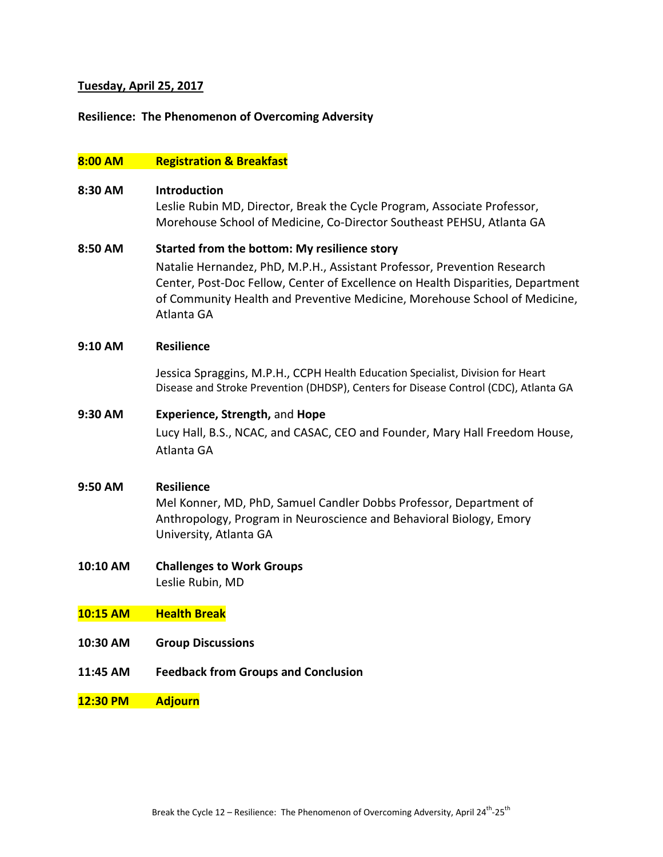#### **Tuesday, April 25, 2017**

#### **Resilience: The Phenomenon of Overcoming Adversity**

#### **8:00 AM Registration & Breakfast**

#### **8:30 AM Introduction**

Leslie Rubin MD, Director, Break the Cycle Program, Associate Professor, Morehouse School of Medicine, Co-Director Southeast PEHSU, Atlanta GA

#### **8:50 AM Started from the bottom: My resilience story**

Natalie Hernandez, PhD, M.P.H., Assistant Professor, Prevention Research Center, Post-Doc Fellow, Center of Excellence on Health Disparities, Department of Community Health and Preventive Medicine, Morehouse School of Medicine, Atlanta GA

#### **9:10 AM Resilience**

Jessica Spraggins, M.P.H., CCPH Health Education Specialist, Division for Heart Disease and Stroke Prevention (DHDSP), Centers for Disease Control (CDC), Atlanta GA

#### **9:30 AM Experience, Strength,** and **Hope**

Lucy Hall, B.S., NCAC, and CASAC, CEO and Founder, Mary Hall Freedom House, Atlanta GA

#### **9:50 AM Resilience**

Mel Konner, MD, PhD, Samuel Candler Dobbs Professor, Department of Anthropology, Program in Neuroscience and Behavioral Biology, Emory University, Atlanta GA

#### **10:10 AM Challenges to Work Groups** Leslie Rubin, MD

#### **10:15 AM Health Break**

- **10:30 AM Group Discussions**
- **11:45 AM Feedback from Groups and Conclusion**
- **12:30 PM Adjourn**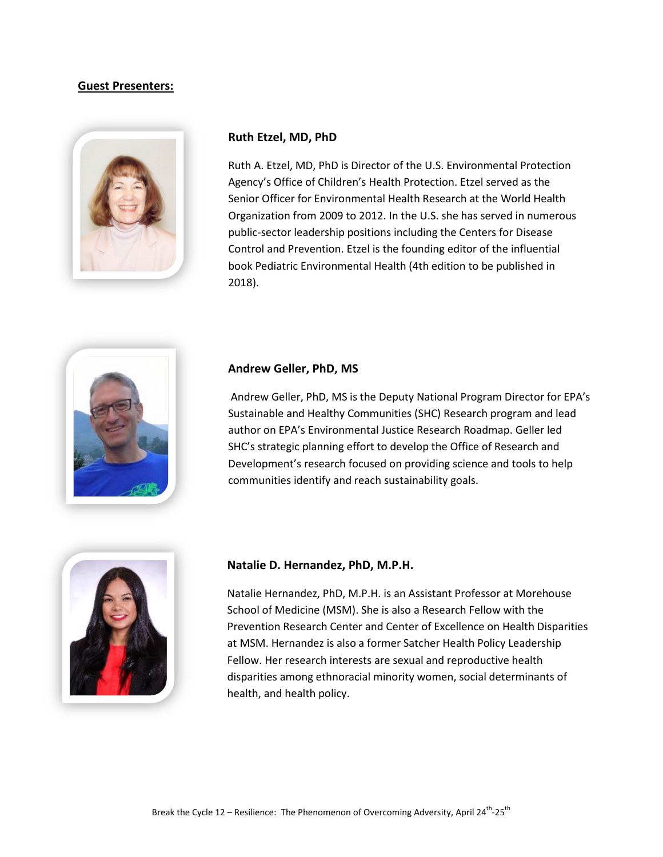#### **Guest Presenters:**



#### **Ruth Etzel, MD, PhD**

Ruth A. Etzel, MD, PhD is Director of the U.S. Environmental Protection Agency's Office of Children's Health Protection. Etzel served as the Senior Officer for Environmental Health Research at the World Health Organization from 2009 to 2012. In the U.S. she has served in numerous public-sector leadership positions including the Centers for Disease Control and Prevention. Etzel is the founding editor of the influential book Pediatric Environmental Health (4th edition to be published in 2018).



#### **Andrew Geller, PhD, MS**

Andrew Geller, PhD, MS is the Deputy National Program Director for EPA's Sustainable and Healthy Communities (SHC) Research program and lead author on EPA's Environmental Justice Research Roadmap. Geller led SHC's strategic planning effort to develop the Office of Research and Development's research focused on providing science and tools to help communities identify and reach sustainability goals.



#### **Natalie D. Hernandez, PhD, M.P.H.**

Natalie Hernandez, PhD, M.P.H. is an Assistant Professor at Morehouse School of Medicine (MSM). She is also a Research Fellow with the Prevention Research Center and Center of Excellence on Health Disparities at MSM. Hernandez is also a former Satcher Health Policy Leadership Fellow. Her research interests are sexual and reproductive health disparities among ethnoracial minority women, social determinants of health, and health policy.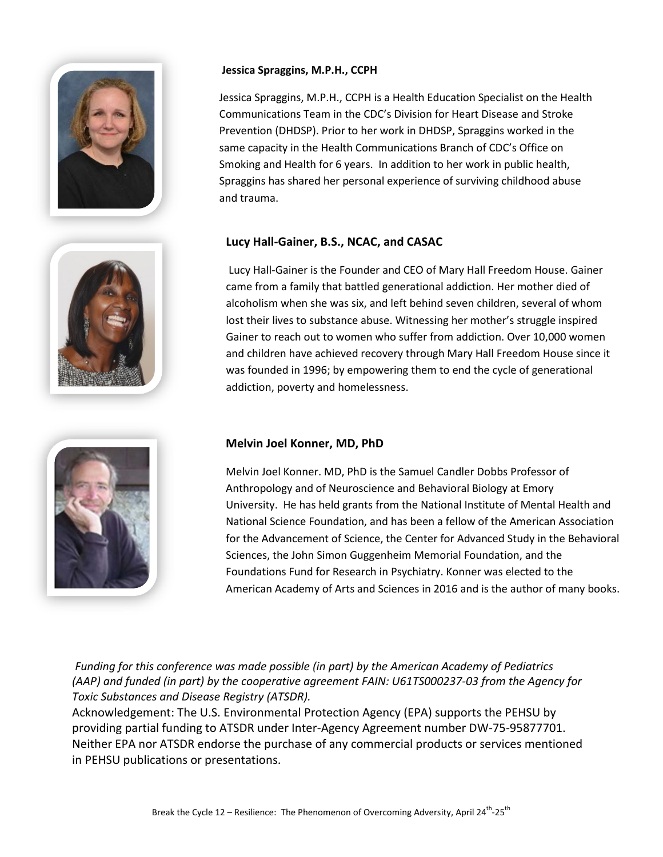

#### **Jessica Spraggins, M.P.H., CCPH**

Jessica Spraggins, M.P.H., CCPH is a Health Education Specialist on the Health Communications Team in the CDC's Division for Heart Disease and Stroke Prevention (DHDSP). Prior to her work in DHDSP, Spraggins worked in the same capacity in the Health Communications Branch of CDC's Office on Smoking and Health for 6 years. In addition to her work in public health, Spraggins has shared her personal experience of surviving childhood abuse and trauma.

#### **Lucy Hall-Gainer, B.S., NCAC, and CASAC**



Lucy Hall-Gainer is the Founder and CEO of Mary Hall Freedom House. Gainer came from a family that battled generational addiction. Her mother died of alcoholism when she was six, and left behind seven children, several of whom lost their lives to substance abuse. Witnessing her mother's struggle inspired Gainer to reach out to women who suffer from addiction. Over 10,000 women and children have achieved recovery through Mary Hall Freedom House since it was founded in 1996; by empowering them to end the cycle of generational addiction, poverty and homelessness.



#### **Melvin Joel Konner, MD, PhD**

Melvin Joel Konner. MD, PhD is the Samuel Candler Dobbs Professor of Anthropology and of Neuroscience and Behavioral Biology at Emory University. He has held grants from the National Institute of Mental Health and National Science Foundation, and has been a fellow of the American Association for the Advancement of Science, the Center for Advanced Study in the Behavioral Sciences, the John Simon Guggenheim Memorial Foundation, and the Foundations Fund for Research in Psychiatry. Konner was elected to the American Academy of Arts and Sciences in 2016 and is the author of many books.

*Funding for this conference was made possible (in part) by the American Academy of Pediatrics (AAP) and funded (in part) by the cooperative agreement FAIN: U61TS000237-03 from the Agency for Toxic Substances and Disease Registry (ATSDR).* 

Acknowledgement: The U.S. Environmental Protection Agency (EPA) supports the PEHSU by providing partial funding to ATSDR under Inter-Agency Agreement number DW-75-95877701. Neither EPA nor ATSDR endorse the purchase of any commercial products or services mentioned in PEHSU publications or presentations.